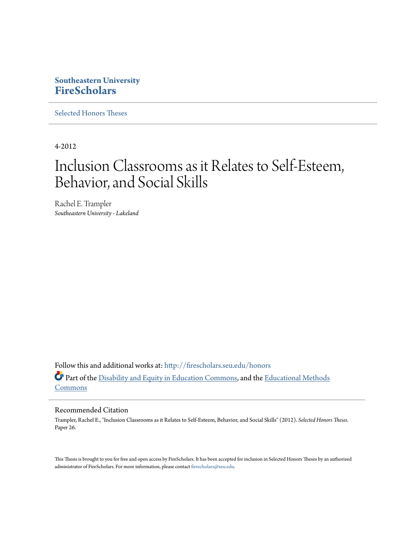## **Southeastern University [FireScholars](http://firescholars.seu.edu?utm_source=firescholars.seu.edu%2Fhonors%2F26&utm_medium=PDF&utm_campaign=PDFCoverPages)**

[Selected Honors Theses](http://firescholars.seu.edu/honors?utm_source=firescholars.seu.edu%2Fhonors%2F26&utm_medium=PDF&utm_campaign=PDFCoverPages)

4-2012

# Inclusion Classrooms as it Relates to Self-Esteem, Behavior, and Social Skills

Rachel E. Trampler *Southeastern University - Lakeland*

Follow this and additional works at: [http://firescholars.seu.edu/honors](http://firescholars.seu.edu/honors?utm_source=firescholars.seu.edu%2Fhonors%2F26&utm_medium=PDF&utm_campaign=PDFCoverPages) Part of the [Disability and Equity in Education Commons,](http://network.bepress.com/hgg/discipline/1040?utm_source=firescholars.seu.edu%2Fhonors%2F26&utm_medium=PDF&utm_campaign=PDFCoverPages) and the [Educational Methods](http://network.bepress.com/hgg/discipline/1227?utm_source=firescholars.seu.edu%2Fhonors%2F26&utm_medium=PDF&utm_campaign=PDFCoverPages) **[Commons](http://network.bepress.com/hgg/discipline/1227?utm_source=firescholars.seu.edu%2Fhonors%2F26&utm_medium=PDF&utm_campaign=PDFCoverPages)** 

## Recommended Citation

Trampler, Rachel E., "Inclusion Classrooms as it Relates to Self-Esteem, Behavior, and Social Skills" (2012). *Selected Honors Theses.* Paper 26.

This Thesis is brought to you for free and open access by FireScholars. It has been accepted for inclusion in Selected Honors Theses by an authorized administrator of FireScholars. For more information, please contact [firescholars@seu.edu](mailto:firescholars@seu.edu).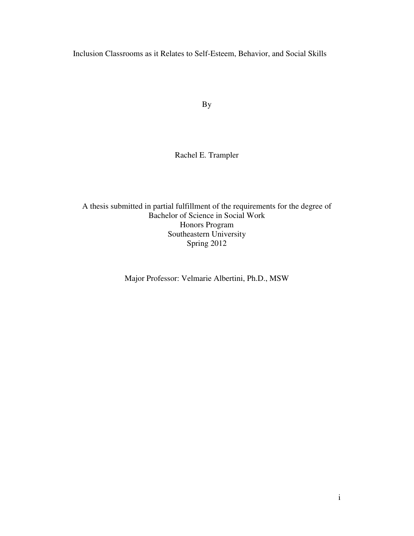Inclusion Classrooms as it Relates to Self-Esteem, Behavior, and Social Skills

By

## Rachel E. Trampler

A thesis submitted in partial fulfillment of the requirements for the degree of Bachelor of Science in Social Work Honors Program Southeastern University Spring 2012

Major Professor: Velmarie Albertini, Ph.D., MSW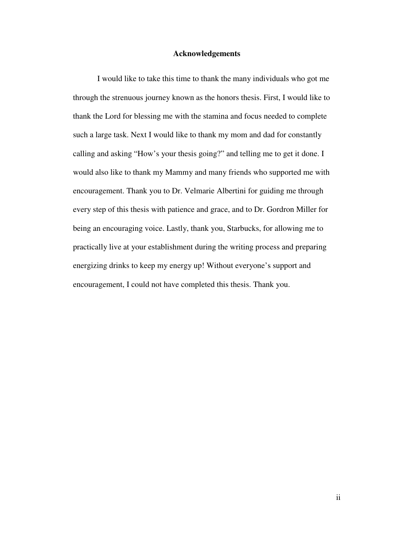## **Acknowledgements**

I would like to take this time to thank the many individuals who got me through the strenuous journey known as the honors thesis. First, I would like to thank the Lord for blessing me with the stamina and focus needed to complete such a large task. Next I would like to thank my mom and dad for constantly calling and asking "How's your thesis going?" and telling me to get it done. I would also like to thank my Mammy and many friends who supported me with encouragement. Thank you to Dr. Velmarie Albertini for guiding me through every step of this thesis with patience and grace, and to Dr. Gordron Miller for being an encouraging voice. Lastly, thank you, Starbucks, for allowing me to practically live at your establishment during the writing process and preparing energizing drinks to keep my energy up! Without everyone's support and encouragement, I could not have completed this thesis. Thank you.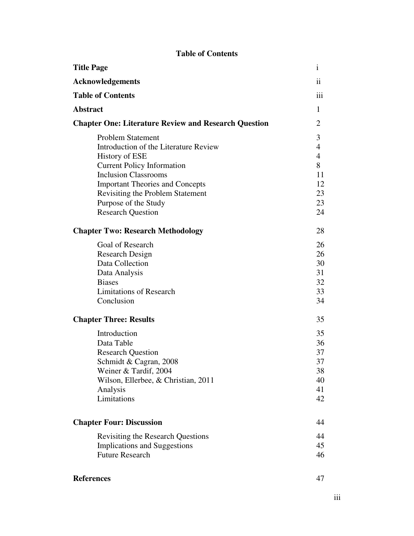## **Table of Contents Title Page** i **Acknowledgements** ii **Table of Contents** iii **Abstract** 1 **Chapter One: Literature Review and Research Question** 2 Problem Statement 3 Introduction of the Literature Review 4 History of ESE 4 Current Policy Information 8 Inclusion Classrooms 11 Important Theories and Concepts 12 Revisiting the Problem Statement 23 Purpose of the Study 23 Research Question 24 **Chapter Two: Research Methodology** 28 Goal of Research 26 Research Design 26 Data Collection 30 Data Analysis 31 Biases 32 Limitations of Research 33 Conclusion 34 **Chapter Three: Results** 35 Introduction 35 Data Table 36 Research Question 37 Schmidt & Cagran, 2008 37 Weiner & Tardif, 2004 38 Wilson, Ellerbee, & Christian, 2011 40 Analysis 41 Limitations 42 **Chapter Four: Discussion** 44 Revisiting the Research Questions 44 Implications and Suggestions 45 Future Research 46

## **References** 47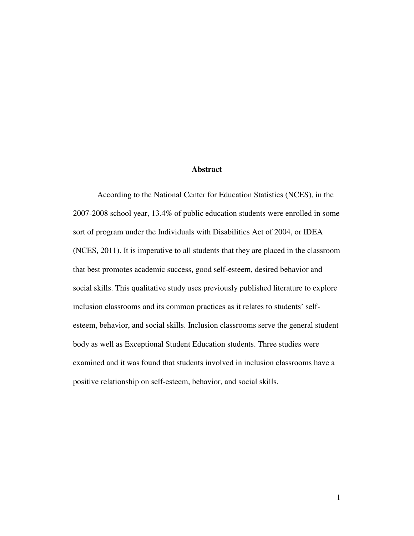## **Abstract**

 According to the National Center for Education Statistics (NCES), in the 2007-2008 school year, 13.4% of public education students were enrolled in some sort of program under the Individuals with Disabilities Act of 2004, or IDEA (NCES, 2011). It is imperative to all students that they are placed in the classroom that best promotes academic success, good self-esteem, desired behavior and social skills. This qualitative study uses previously published literature to explore inclusion classrooms and its common practices as it relates to students' selfesteem, behavior, and social skills. Inclusion classrooms serve the general student body as well as Exceptional Student Education students. Three studies were examined and it was found that students involved in inclusion classrooms have a positive relationship on self-esteem, behavior, and social skills.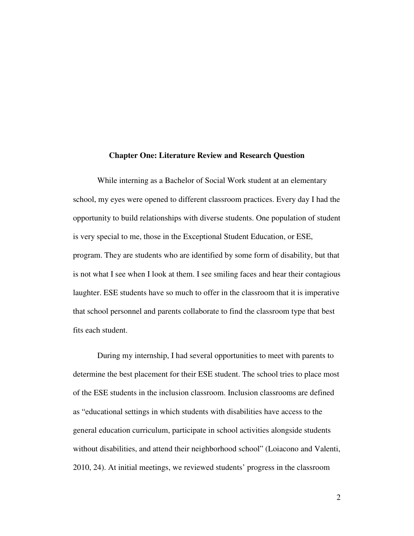#### **Chapter One: Literature Review and Research Question**

 While interning as a Bachelor of Social Work student at an elementary school, my eyes were opened to different classroom practices. Every day I had the opportunity to build relationships with diverse students. One population of student is very special to me, those in the Exceptional Student Education, or ESE, program. They are students who are identified by some form of disability, but that is not what I see when I look at them. I see smiling faces and hear their contagious laughter. ESE students have so much to offer in the classroom that it is imperative that school personnel and parents collaborate to find the classroom type that best fits each student.

During my internship, I had several opportunities to meet with parents to determine the best placement for their ESE student. The school tries to place most of the ESE students in the inclusion classroom. Inclusion classrooms are defined as "educational settings in which students with disabilities have access to the general education curriculum, participate in school activities alongside students without disabilities, and attend their neighborhood school" (Loiacono and Valenti, 2010, 24). At initial meetings, we reviewed students' progress in the classroom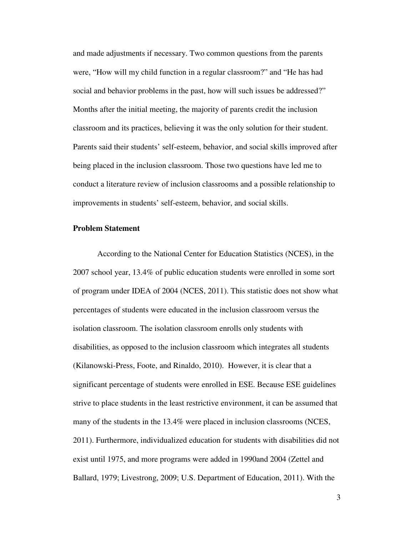and made adjustments if necessary. Two common questions from the parents were, "How will my child function in a regular classroom?" and "He has had social and behavior problems in the past, how will such issues be addressed?" Months after the initial meeting, the majority of parents credit the inclusion classroom and its practices, believing it was the only solution for their student. Parents said their students' self-esteem, behavior, and social skills improved after being placed in the inclusion classroom. Those two questions have led me to conduct a literature review of inclusion classrooms and a possible relationship to improvements in students' self-esteem, behavior, and social skills.

## **Problem Statement**

According to the National Center for Education Statistics (NCES), in the 2007 school year, 13.4% of public education students were enrolled in some sort of program under IDEA of 2004 (NCES, 2011). This statistic does not show what percentages of students were educated in the inclusion classroom versus the isolation classroom. The isolation classroom enrolls only students with disabilities, as opposed to the inclusion classroom which integrates all students (Kilanowski-Press, Foote, and Rinaldo, 2010). However, it is clear that a significant percentage of students were enrolled in ESE. Because ESE guidelines strive to place students in the least restrictive environment, it can be assumed that many of the students in the 13.4% were placed in inclusion classrooms (NCES, 2011). Furthermore, individualized education for students with disabilities did not exist until 1975, and more programs were added in 1990and 2004 (Zettel and Ballard, 1979; Livestrong, 2009; U.S. Department of Education, 2011). With the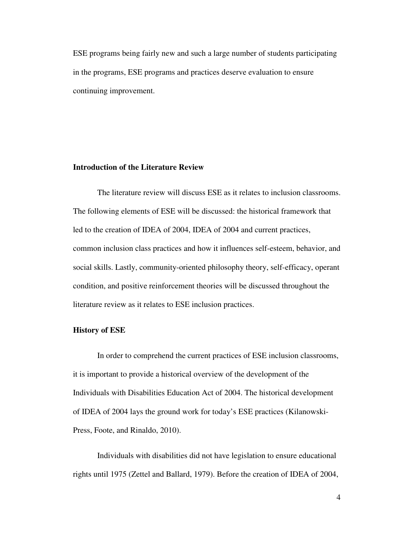ESE programs being fairly new and such a large number of students participating in the programs, ESE programs and practices deserve evaluation to ensure continuing improvement.

## **Introduction of the Literature Review**

 The literature review will discuss ESE as it relates to inclusion classrooms. The following elements of ESE will be discussed: the historical framework that led to the creation of IDEA of 2004, IDEA of 2004 and current practices, common inclusion class practices and how it influences self-esteem, behavior, and social skills. Lastly, community-oriented philosophy theory, self-efficacy, operant condition, and positive reinforcement theories will be discussed throughout the literature review as it relates to ESE inclusion practices.

#### **History of ESE**

In order to comprehend the current practices of ESE inclusion classrooms, it is important to provide a historical overview of the development of the Individuals with Disabilities Education Act of 2004. The historical development of IDEA of 2004 lays the ground work for today's ESE practices (Kilanowski-Press, Foote, and Rinaldo, 2010).

Individuals with disabilities did not have legislation to ensure educational rights until 1975 (Zettel and Ballard, 1979). Before the creation of IDEA of 2004,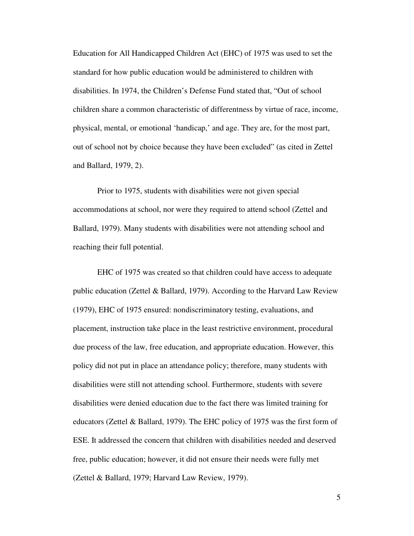Education for All Handicapped Children Act (EHC) of 1975 was used to set the standard for how public education would be administered to children with disabilities. In 1974, the Children's Defense Fund stated that, "Out of school children share a common characteristic of differentness by virtue of race, income, physical, mental, or emotional 'handicap,' and age. They are, for the most part, out of school not by choice because they have been excluded" (as cited in Zettel and Ballard, 1979, 2).

Prior to 1975, students with disabilities were not given special accommodations at school, nor were they required to attend school (Zettel and Ballard, 1979). Many students with disabilities were not attending school and reaching their full potential.

EHC of 1975 was created so that children could have access to adequate public education (Zettel & Ballard, 1979). According to the Harvard Law Review (1979), EHC of 1975 ensured: nondiscriminatory testing, evaluations, and placement, instruction take place in the least restrictive environment, procedural due process of the law, free education, and appropriate education. However, this policy did not put in place an attendance policy; therefore, many students with disabilities were still not attending school. Furthermore, students with severe disabilities were denied education due to the fact there was limited training for educators (Zettel & Ballard, 1979). The EHC policy of 1975 was the first form of ESE. It addressed the concern that children with disabilities needed and deserved free, public education; however, it did not ensure their needs were fully met (Zettel & Ballard, 1979; Harvard Law Review, 1979).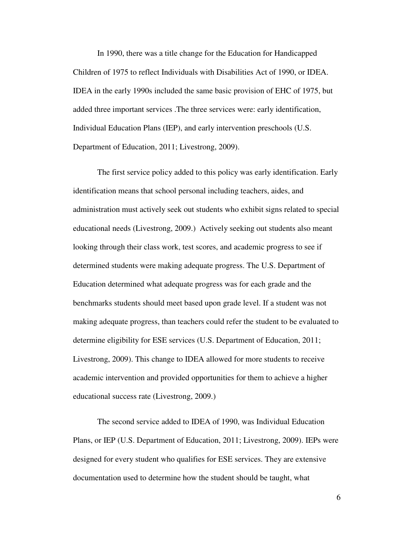In 1990, there was a title change for the Education for Handicapped Children of 1975 to reflect Individuals with Disabilities Act of 1990, or IDEA. IDEA in the early 1990s included the same basic provision of EHC of 1975, but added three important services .The three services were: early identification, Individual Education Plans (IEP), and early intervention preschools (U.S. Department of Education, 2011; Livestrong, 2009).

The first service policy added to this policy was early identification. Early identification means that school personal including teachers, aides, and administration must actively seek out students who exhibit signs related to special educational needs (Livestrong, 2009.) Actively seeking out students also meant looking through their class work, test scores, and academic progress to see if determined students were making adequate progress. The U.S. Department of Education determined what adequate progress was for each grade and the benchmarks students should meet based upon grade level. If a student was not making adequate progress, than teachers could refer the student to be evaluated to determine eligibility for ESE services (U.S. Department of Education, 2011; Livestrong, 2009). This change to IDEA allowed for more students to receive academic intervention and provided opportunities for them to achieve a higher educational success rate (Livestrong, 2009.)

The second service added to IDEA of 1990, was Individual Education Plans, or IEP (U.S. Department of Education, 2011; Livestrong, 2009). IEPs were designed for every student who qualifies for ESE services. They are extensive documentation used to determine how the student should be taught, what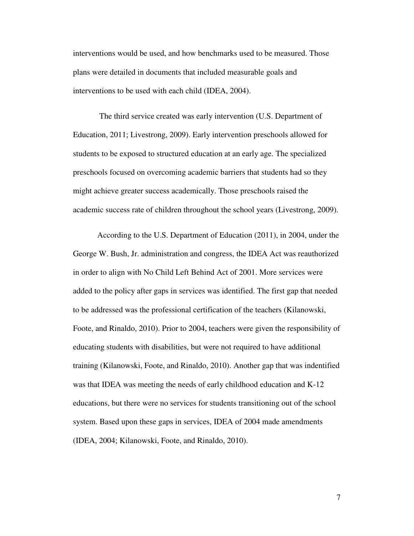interventions would be used, and how benchmarks used to be measured. Those plans were detailed in documents that included measurable goals and interventions to be used with each child (IDEA, 2004).

 The third service created was early intervention (U.S. Department of Education, 2011; Livestrong, 2009). Early intervention preschools allowed for students to be exposed to structured education at an early age. The specialized preschools focused on overcoming academic barriers that students had so they might achieve greater success academically. Those preschools raised the academic success rate of children throughout the school years (Livestrong, 2009).

According to the U.S. Department of Education (2011), in 2004, under the George W. Bush, Jr. administration and congress, the IDEA Act was reauthorized in order to align with No Child Left Behind Act of 2001. More services were added to the policy after gaps in services was identified. The first gap that needed to be addressed was the professional certification of the teachers (Kilanowski, Foote, and Rinaldo, 2010). Prior to 2004, teachers were given the responsibility of educating students with disabilities, but were not required to have additional training (Kilanowski, Foote, and Rinaldo, 2010). Another gap that was indentified was that IDEA was meeting the needs of early childhood education and K-12 educations, but there were no services for students transitioning out of the school system. Based upon these gaps in services, IDEA of 2004 made amendments (IDEA, 2004; Kilanowski, Foote, and Rinaldo, 2010).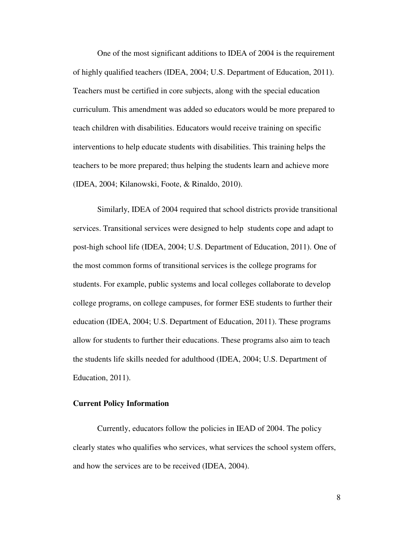One of the most significant additions to IDEA of 2004 is the requirement of highly qualified teachers (IDEA, 2004; U.S. Department of Education, 2011). Teachers must be certified in core subjects, along with the special education curriculum. This amendment was added so educators would be more prepared to teach children with disabilities. Educators would receive training on specific interventions to help educate students with disabilities. This training helps the teachers to be more prepared; thus helping the students learn and achieve more (IDEA, 2004; Kilanowski, Foote, & Rinaldo, 2010).

Similarly, IDEA of 2004 required that school districts provide transitional services. Transitional services were designed to help students cope and adapt to post-high school life (IDEA, 2004; U.S. Department of Education, 2011). One of the most common forms of transitional services is the college programs for students. For example, public systems and local colleges collaborate to develop college programs, on college campuses, for former ESE students to further their education (IDEA, 2004; U.S. Department of Education, 2011). These programs allow for students to further their educations. These programs also aim to teach the students life skills needed for adulthood (IDEA, 2004; U.S. Department of Education, 2011).

## **Current Policy Information**

 Currently, educators follow the policies in IEAD of 2004. The policy clearly states who qualifies who services, what services the school system offers, and how the services are to be received (IDEA, 2004).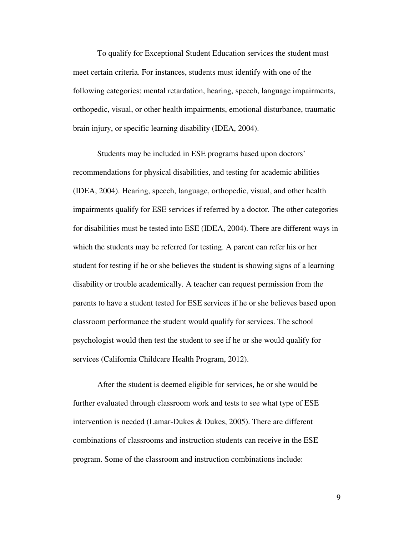To qualify for Exceptional Student Education services the student must meet certain criteria. For instances, students must identify with one of the following categories: mental retardation, hearing, speech, language impairments, orthopedic, visual, or other health impairments, emotional disturbance, traumatic brain injury, or specific learning disability (IDEA, 2004).

 Students may be included in ESE programs based upon doctors' recommendations for physical disabilities, and testing for academic abilities (IDEA, 2004). Hearing, speech, language, orthopedic, visual, and other health impairments qualify for ESE services if referred by a doctor. The other categories for disabilities must be tested into ESE (IDEA, 2004). There are different ways in which the students may be referred for testing. A parent can refer his or her student for testing if he or she believes the student is showing signs of a learning disability or trouble academically. A teacher can request permission from the parents to have a student tested for ESE services if he or she believes based upon classroom performance the student would qualify for services. The school psychologist would then test the student to see if he or she would qualify for services (California Childcare Health Program, 2012).

 After the student is deemed eligible for services, he or she would be further evaluated through classroom work and tests to see what type of ESE intervention is needed (Lamar-Dukes & Dukes, 2005). There are different combinations of classrooms and instruction students can receive in the ESE program. Some of the classroom and instruction combinations include: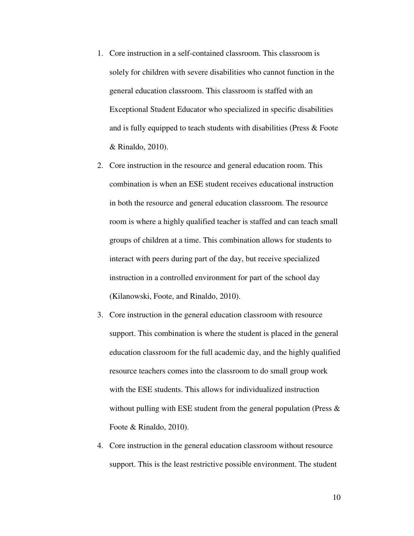- 1. Core instruction in a self-contained classroom. This classroom is solely for children with severe disabilities who cannot function in the general education classroom. This classroom is staffed with an Exceptional Student Educator who specialized in specific disabilities and is fully equipped to teach students with disabilities (Press & Foote & Rinaldo, 2010).
- 2. Core instruction in the resource and general education room. This combination is when an ESE student receives educational instruction in both the resource and general education classroom. The resource room is where a highly qualified teacher is staffed and can teach small groups of children at a time. This combination allows for students to interact with peers during part of the day, but receive specialized instruction in a controlled environment for part of the school day (Kilanowski, Foote, and Rinaldo, 2010).
- 3. Core instruction in the general education classroom with resource support. This combination is where the student is placed in the general education classroom for the full academic day, and the highly qualified resource teachers comes into the classroom to do small group work with the ESE students. This allows for individualized instruction without pulling with ESE student from the general population (Press  $\&$ Foote & Rinaldo, 2010).
- 4. Core instruction in the general education classroom without resource support. This is the least restrictive possible environment. The student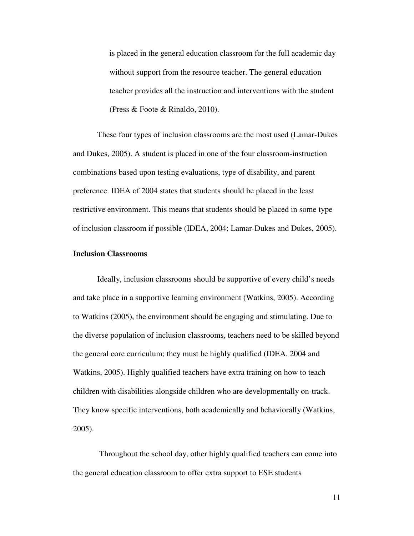is placed in the general education classroom for the full academic day without support from the resource teacher. The general education teacher provides all the instruction and interventions with the student (Press & Foote & Rinaldo, 2010).

 These four types of inclusion classrooms are the most used (Lamar-Dukes and Dukes, 2005). A student is placed in one of the four classroom-instruction combinations based upon testing evaluations, type of disability, and parent preference. IDEA of 2004 states that students should be placed in the least restrictive environment. This means that students should be placed in some type of inclusion classroom if possible (IDEA, 2004; Lamar-Dukes and Dukes, 2005).

#### **Inclusion Classrooms**

 Ideally, inclusion classrooms should be supportive of every child's needs and take place in a supportive learning environment (Watkins, 2005). According to Watkins (2005), the environment should be engaging and stimulating. Due to the diverse population of inclusion classrooms, teachers need to be skilled beyond the general core curriculum; they must be highly qualified (IDEA, 2004 and Watkins, 2005). Highly qualified teachers have extra training on how to teach children with disabilities alongside children who are developmentally on-track. They know specific interventions, both academically and behaviorally (Watkins, 2005).

 Throughout the school day, other highly qualified teachers can come into the general education classroom to offer extra support to ESE students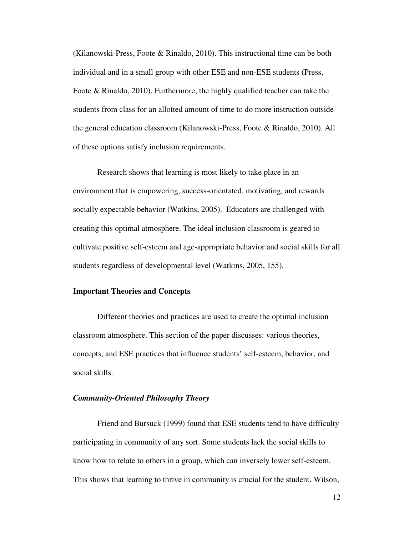(Kilanowski-Press, Foote & Rinaldo, 2010). This instructional time can be both individual and in a small group with other ESE and non-ESE students (Press, Foote & Rinaldo, 2010). Furthermore, the highly qualified teacher can take the students from class for an allotted amount of time to do more instruction outside the general education classroom (Kilanowski-Press, Foote & Rinaldo, 2010). All of these options satisfy inclusion requirements.

 Research shows that learning is most likely to take place in an environment that is empowering, success-orientated, motivating, and rewards socially expectable behavior (Watkins, 2005). Educators are challenged with creating this optimal atmosphere. The ideal inclusion classroom is geared to cultivate positive self-esteem and age-appropriate behavior and social skills for all students regardless of developmental level (Watkins, 2005, 155).

#### **Important Theories and Concepts**

 Different theories and practices are used to create the optimal inclusion classroom atmosphere. This section of the paper discusses: various theories, concepts, and ESE practices that influence students' self-esteem, behavior, and social skills.

## *Community-Oriented Philosophy Theory*

Friend and Bursuck (1999) found that ESE students tend to have difficulty participating in community of any sort. Some students lack the social skills to know how to relate to others in a group, which can inversely lower self-esteem. This shows that learning to thrive in community is crucial for the student. Wilson,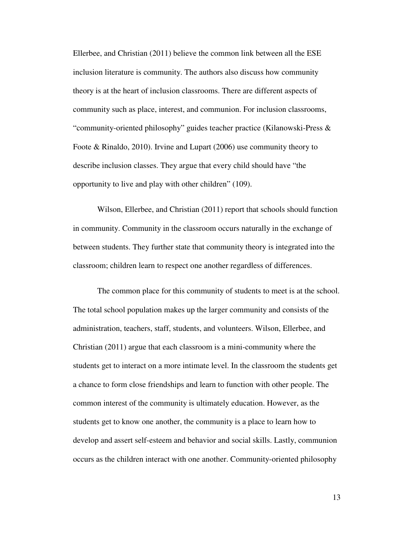Ellerbee, and Christian (2011) believe the common link between all the ESE inclusion literature is community. The authors also discuss how community theory is at the heart of inclusion classrooms. There are different aspects of community such as place, interest, and communion. For inclusion classrooms, "community-oriented philosophy" guides teacher practice (Kilanowski-Press & Foote & Rinaldo, 2010). Irvine and Lupart (2006) use community theory to describe inclusion classes. They argue that every child should have "the opportunity to live and play with other children" (109).

Wilson, Ellerbee, and Christian (2011) report that schools should function in community. Community in the classroom occurs naturally in the exchange of between students. They further state that community theory is integrated into the classroom; children learn to respect one another regardless of differences.

The common place for this community of students to meet is at the school. The total school population makes up the larger community and consists of the administration, teachers, staff, students, and volunteers. Wilson, Ellerbee, and Christian (2011) argue that each classroom is a mini-community where the students get to interact on a more intimate level. In the classroom the students get a chance to form close friendships and learn to function with other people. The common interest of the community is ultimately education. However, as the students get to know one another, the community is a place to learn how to develop and assert self-esteem and behavior and social skills. Lastly, communion occurs as the children interact with one another. Community-oriented philosophy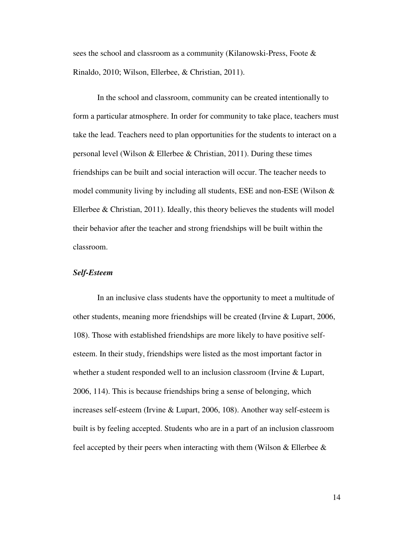sees the school and classroom as a community (Kilanowski-Press, Foote & Rinaldo, 2010; Wilson, Ellerbee, & Christian, 2011).

In the school and classroom, community can be created intentionally to form a particular atmosphere. In order for community to take place, teachers must take the lead. Teachers need to plan opportunities for the students to interact on a personal level (Wilson & Ellerbee & Christian, 2011). During these times friendships can be built and social interaction will occur. The teacher needs to model community living by including all students, ESE and non-ESE (Wilson  $\&$ Ellerbee & Christian, 2011). Ideally, this theory believes the students will model their behavior after the teacher and strong friendships will be built within the classroom.

## *Self-Esteem*

 In an inclusive class students have the opportunity to meet a multitude of other students, meaning more friendships will be created (Irvine & Lupart, 2006, 108). Those with established friendships are more likely to have positive selfesteem. In their study, friendships were listed as the most important factor in whether a student responded well to an inclusion classroom (Irvine & Lupart, 2006, 114). This is because friendships bring a sense of belonging, which increases self-esteem (Irvine & Lupart, 2006, 108). Another way self-esteem is built is by feeling accepted. Students who are in a part of an inclusion classroom feel accepted by their peers when interacting with them (Wilson  $&$  Ellerbee  $&$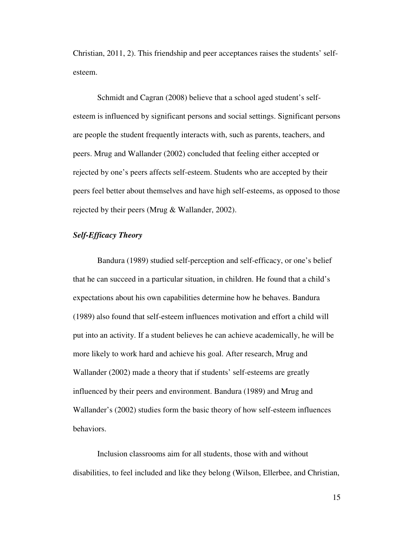Christian, 2011, 2). This friendship and peer acceptances raises the students' selfesteem.

 Schmidt and Cagran (2008) believe that a school aged student's selfesteem is influenced by significant persons and social settings. Significant persons are people the student frequently interacts with, such as parents, teachers, and peers. Mrug and Wallander (2002) concluded that feeling either accepted or rejected by one's peers affects self-esteem. Students who are accepted by their peers feel better about themselves and have high self-esteems, as opposed to those rejected by their peers (Mrug & Wallander, 2002).

## *Self-Efficacy Theory*

 Bandura (1989) studied self-perception and self-efficacy, or one's belief that he can succeed in a particular situation, in children. He found that a child's expectations about his own capabilities determine how he behaves. Bandura (1989) also found that self-esteem influences motivation and effort a child will put into an activity. If a student believes he can achieve academically, he will be more likely to work hard and achieve his goal. After research, Mrug and Wallander (2002) made a theory that if students' self-esteems are greatly influenced by their peers and environment. Bandura (1989) and Mrug and Wallander's (2002) studies form the basic theory of how self-esteem influences behaviors.

 Inclusion classrooms aim for all students, those with and without disabilities, to feel included and like they belong (Wilson, Ellerbee, and Christian,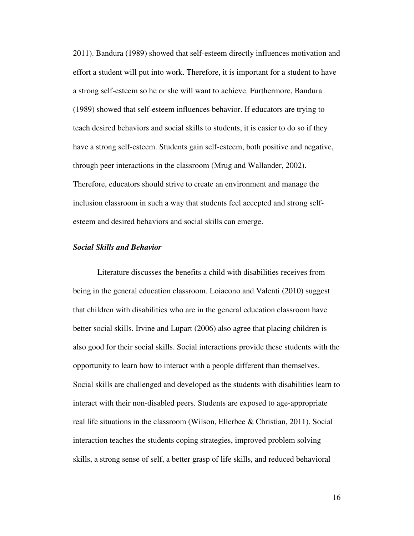2011). Bandura (1989) showed that self-esteem directly influences motivation and effort a student will put into work. Therefore, it is important for a student to have a strong self-esteem so he or she will want to achieve. Furthermore, Bandura (1989) showed that self-esteem influences behavior. If educators are trying to teach desired behaviors and social skills to students, it is easier to do so if they have a strong self-esteem. Students gain self-esteem, both positive and negative, through peer interactions in the classroom (Mrug and Wallander, 2002). Therefore, educators should strive to create an environment and manage the inclusion classroom in such a way that students feel accepted and strong selfesteem and desired behaviors and social skills can emerge.

## *Social Skills and Behavior*

 Literature discusses the benefits a child with disabilities receives from being in the general education classroom. Loiacono and Valenti (2010) suggest that children with disabilities who are in the general education classroom have better social skills. Irvine and Lupart (2006) also agree that placing children is also good for their social skills. Social interactions provide these students with the opportunity to learn how to interact with a people different than themselves. Social skills are challenged and developed as the students with disabilities learn to interact with their non-disabled peers. Students are exposed to age-appropriate real life situations in the classroom (Wilson, Ellerbee & Christian, 2011). Social interaction teaches the students coping strategies, improved problem solving skills, a strong sense of self, a better grasp of life skills, and reduced behavioral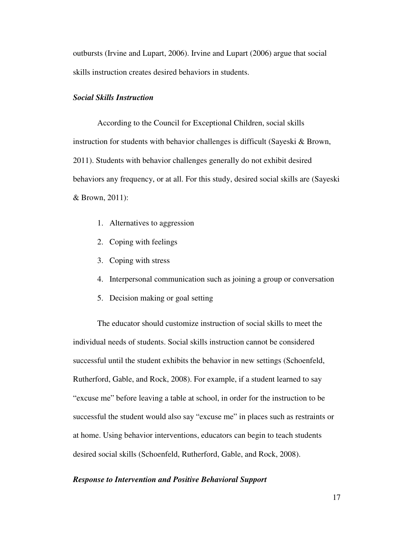outbursts (Irvine and Lupart, 2006). Irvine and Lupart (2006) argue that social skills instruction creates desired behaviors in students.

## *Social Skills Instruction*

 According to the Council for Exceptional Children, social skills instruction for students with behavior challenges is difficult (Sayeski & Brown, 2011). Students with behavior challenges generally do not exhibit desired behaviors any frequency, or at all. For this study, desired social skills are (Sayeski & Brown, 2011):

- 1. Alternatives to aggression
- 2. Coping with feelings
- 3. Coping with stress
- 4. Interpersonal communication such as joining a group or conversation
- 5. Decision making or goal setting

 The educator should customize instruction of social skills to meet the individual needs of students. Social skills instruction cannot be considered successful until the student exhibits the behavior in new settings (Schoenfeld, Rutherford, Gable, and Rock, 2008). For example, if a student learned to say "excuse me" before leaving a table at school, in order for the instruction to be successful the student would also say "excuse me" in places such as restraints or at home. Using behavior interventions, educators can begin to teach students desired social skills (Schoenfeld, Rutherford, Gable, and Rock, 2008).

## *Response to Intervention and Positive Behavioral Support*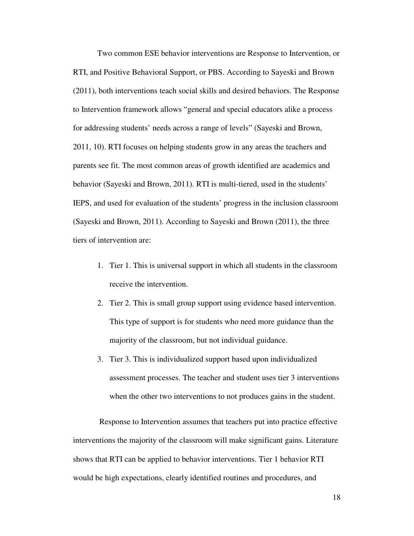Two common ESE behavior interventions are Response to Intervention, or RTI, and Positive Behavioral Support, or PBS. According to Sayeski and Brown (2011), both interventions teach social skills and desired behaviors. The Response to Intervention framework allows "general and special educators alike a process for addressing students' needs across a range of levels" (Sayeski and Brown, 2011, 10). RTI focuses on helping students grow in any areas the teachers and parents see fit. The most common areas of growth identified are academics and behavior (Sayeski and Brown, 2011). RTI is multi-tiered, used in the students' IEPS, and used for evaluation of the students' progress in the inclusion classroom (Sayeski and Brown, 2011). According to Sayeski and Brown (2011), the three tiers of intervention are:

- 1. Tier 1. This is universal support in which all students in the classroom receive the intervention.
- 2. Tier 2. This is small group support using evidence based intervention. This type of support is for students who need more guidance than the majority of the classroom, but not individual guidance.
- 3. Tier 3. This is individualized support based upon individualized assessment processes. The teacher and student uses tier 3 interventions when the other two interventions to not produces gains in the student.

 Response to Intervention assumes that teachers put into practice effective interventions the majority of the classroom will make significant gains. Literature shows that RTI can be applied to behavior interventions. Tier 1 behavior RTI would be high expectations, clearly identified routines and procedures, and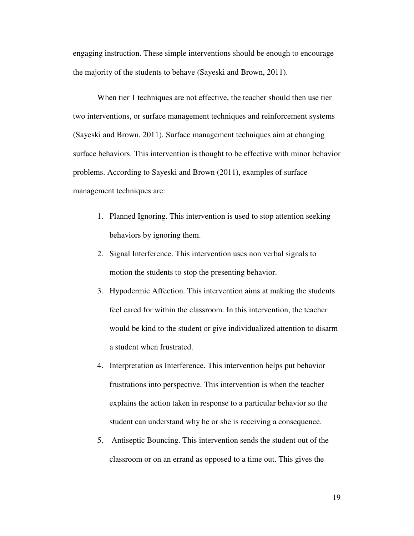engaging instruction. These simple interventions should be enough to encourage the majority of the students to behave (Sayeski and Brown, 2011).

 When tier 1 techniques are not effective, the teacher should then use tier two interventions, or surface management techniques and reinforcement systems (Sayeski and Brown, 2011). Surface management techniques aim at changing surface behaviors. This intervention is thought to be effective with minor behavior problems. According to Sayeski and Brown (2011), examples of surface management techniques are:

- 1. Planned Ignoring. This intervention is used to stop attention seeking behaviors by ignoring them.
- 2. Signal Interference. This intervention uses non verbal signals to motion the students to stop the presenting behavior.
- 3. Hypodermic Affection. This intervention aims at making the students feel cared for within the classroom. In this intervention, the teacher would be kind to the student or give individualized attention to disarm a student when frustrated.
- 4. Interpretation as Interference. This intervention helps put behavior frustrations into perspective. This intervention is when the teacher explains the action taken in response to a particular behavior so the student can understand why he or she is receiving a consequence.
- 5. Antiseptic Bouncing. This intervention sends the student out of the classroom or on an errand as opposed to a time out. This gives the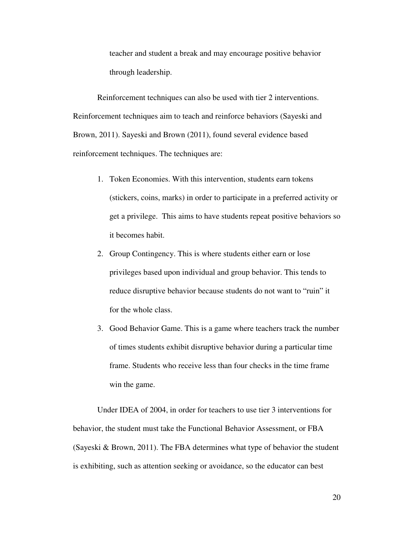teacher and student a break and may encourage positive behavior through leadership.

 Reinforcement techniques can also be used with tier 2 interventions. Reinforcement techniques aim to teach and reinforce behaviors (Sayeski and Brown, 2011). Sayeski and Brown (2011), found several evidence based reinforcement techniques. The techniques are:

- 1. Token Economies. With this intervention, students earn tokens (stickers, coins, marks) in order to participate in a preferred activity or get a privilege. This aims to have students repeat positive behaviors so it becomes habit.
- 2. Group Contingency. This is where students either earn or lose privileges based upon individual and group behavior. This tends to reduce disruptive behavior because students do not want to "ruin" it for the whole class.
- 3. Good Behavior Game. This is a game where teachers track the number of times students exhibit disruptive behavior during a particular time frame. Students who receive less than four checks in the time frame win the game.

 Under IDEA of 2004, in order for teachers to use tier 3 interventions for behavior, the student must take the Functional Behavior Assessment, or FBA (Sayeski & Brown, 2011). The FBA determines what type of behavior the student is exhibiting, such as attention seeking or avoidance, so the educator can best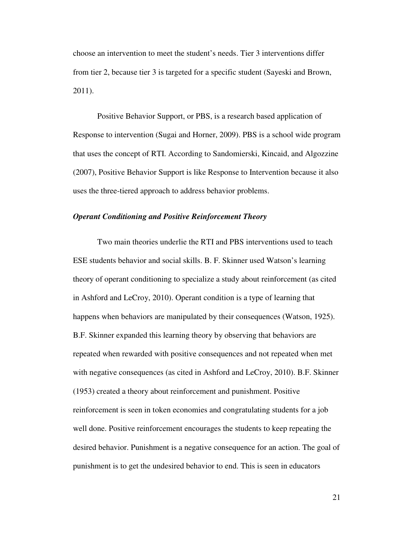choose an intervention to meet the student's needs. Tier 3 interventions differ from tier 2, because tier 3 is targeted for a specific student (Sayeski and Brown, 2011).

 Positive Behavior Support, or PBS, is a research based application of Response to intervention (Sugai and Horner, 2009). PBS is a school wide program that uses the concept of RTI. According to Sandomierski, Kincaid, and Algozzine (2007), Positive Behavior Support is like Response to Intervention because it also uses the three-tiered approach to address behavior problems.

## *Operant Conditioning and Positive Reinforcement Theory*

 Two main theories underlie the RTI and PBS interventions used to teach ESE students behavior and social skills. B. F. Skinner used Watson's learning theory of operant conditioning to specialize a study about reinforcement (as cited in Ashford and LeCroy, 2010). Operant condition is a type of learning that happens when behaviors are manipulated by their consequences (Watson, 1925). B.F. Skinner expanded this learning theory by observing that behaviors are repeated when rewarded with positive consequences and not repeated when met with negative consequences (as cited in Ashford and LeCroy, 2010). B.F. Skinner (1953) created a theory about reinforcement and punishment. Positive reinforcement is seen in token economies and congratulating students for a job well done. Positive reinforcement encourages the students to keep repeating the desired behavior. Punishment is a negative consequence for an action. The goal of punishment is to get the undesired behavior to end. This is seen in educators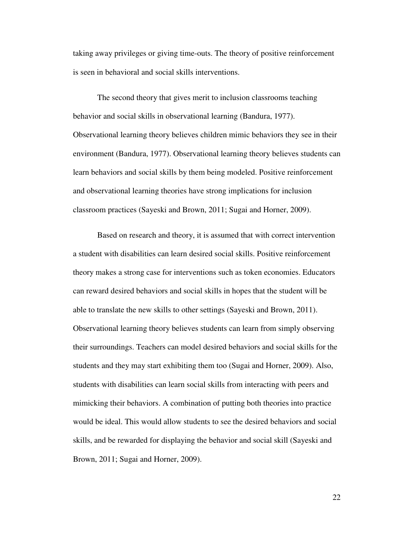taking away privileges or giving time-outs. The theory of positive reinforcement is seen in behavioral and social skills interventions.

 The second theory that gives merit to inclusion classrooms teaching behavior and social skills in observational learning (Bandura, 1977). Observational learning theory believes children mimic behaviors they see in their environment (Bandura, 1977). Observational learning theory believes students can learn behaviors and social skills by them being modeled. Positive reinforcement and observational learning theories have strong implications for inclusion classroom practices (Sayeski and Brown, 2011; Sugai and Horner, 2009).

 Based on research and theory, it is assumed that with correct intervention a student with disabilities can learn desired social skills. Positive reinforcement theory makes a strong case for interventions such as token economies. Educators can reward desired behaviors and social skills in hopes that the student will be able to translate the new skills to other settings (Sayeski and Brown, 2011). Observational learning theory believes students can learn from simply observing their surroundings. Teachers can model desired behaviors and social skills for the students and they may start exhibiting them too (Sugai and Horner, 2009). Also, students with disabilities can learn social skills from interacting with peers and mimicking their behaviors. A combination of putting both theories into practice would be ideal. This would allow students to see the desired behaviors and social skills, and be rewarded for displaying the behavior and social skill (Sayeski and Brown, 2011; Sugai and Horner, 2009).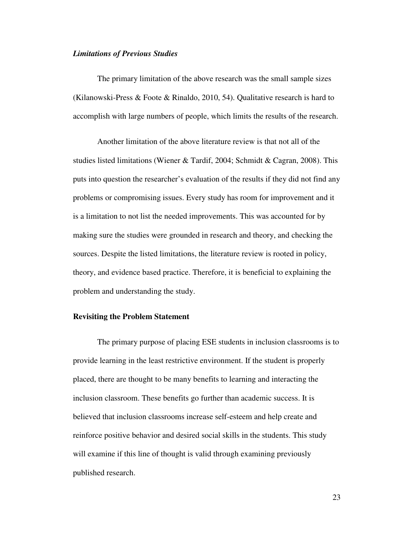#### *Limitations of Previous Studies*

 The primary limitation of the above research was the small sample sizes (Kilanowski-Press & Foote & Rinaldo, 2010, 54). Qualitative research is hard to accomplish with large numbers of people, which limits the results of the research.

 Another limitation of the above literature review is that not all of the studies listed limitations (Wiener & Tardif, 2004; Schmidt & Cagran, 2008). This puts into question the researcher's evaluation of the results if they did not find any problems or compromising issues. Every study has room for improvement and it is a limitation to not list the needed improvements. This was accounted for by making sure the studies were grounded in research and theory, and checking the sources. Despite the listed limitations, the literature review is rooted in policy, theory, and evidence based practice. Therefore, it is beneficial to explaining the problem and understanding the study.

## **Revisiting the Problem Statement**

The primary purpose of placing ESE students in inclusion classrooms is to provide learning in the least restrictive environment. If the student is properly placed, there are thought to be many benefits to learning and interacting the inclusion classroom. These benefits go further than academic success. It is believed that inclusion classrooms increase self-esteem and help create and reinforce positive behavior and desired social skills in the students. This study will examine if this line of thought is valid through examining previously published research.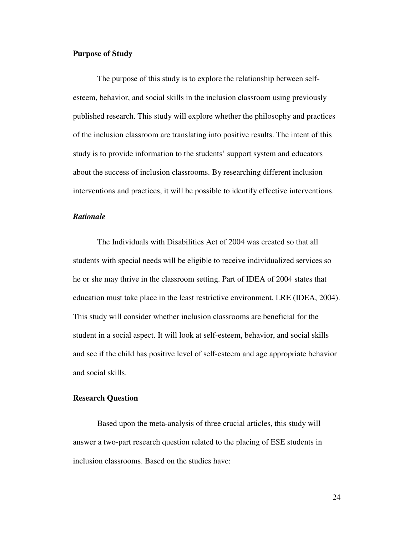## **Purpose of Study**

The purpose of this study is to explore the relationship between selfesteem, behavior, and social skills in the inclusion classroom using previously published research. This study will explore whether the philosophy and practices of the inclusion classroom are translating into positive results. The intent of this study is to provide information to the students' support system and educators about the success of inclusion classrooms. By researching different inclusion interventions and practices, it will be possible to identify effective interventions.

#### *Rationale*

The Individuals with Disabilities Act of 2004 was created so that all students with special needs will be eligible to receive individualized services so he or she may thrive in the classroom setting. Part of IDEA of 2004 states that education must take place in the least restrictive environment, LRE (IDEA, 2004). This study will consider whether inclusion classrooms are beneficial for the student in a social aspect. It will look at self-esteem, behavior, and social skills and see if the child has positive level of self-esteem and age appropriate behavior and social skills.

## **Research Question**

Based upon the meta-analysis of three crucial articles, this study will answer a two-part research question related to the placing of ESE students in inclusion classrooms. Based on the studies have: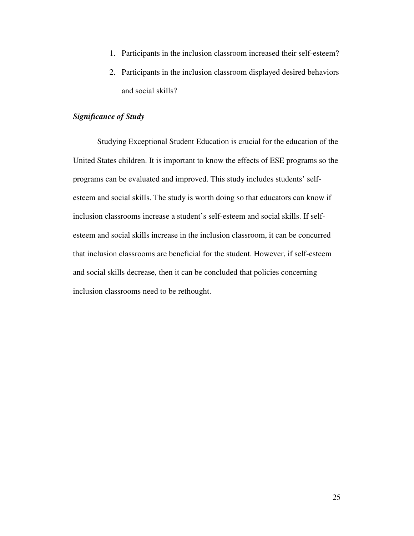- 1. Participants in the inclusion classroom increased their self-esteem?
- 2. Participants in the inclusion classroom displayed desired behaviors and social skills?

## *Significance of Study*

Studying Exceptional Student Education is crucial for the education of the United States children. It is important to know the effects of ESE programs so the programs can be evaluated and improved. This study includes students' selfesteem and social skills. The study is worth doing so that educators can know if inclusion classrooms increase a student's self-esteem and social skills. If selfesteem and social skills increase in the inclusion classroom, it can be concurred that inclusion classrooms are beneficial for the student. However, if self-esteem and social skills decrease, then it can be concluded that policies concerning inclusion classrooms need to be rethought.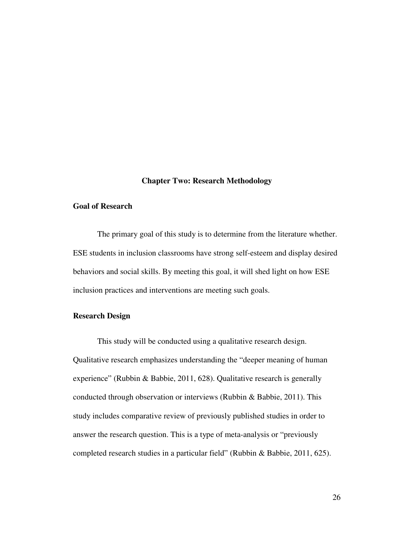#### **Chapter Two: Research Methodology**

## **Goal of Research**

The primary goal of this study is to determine from the literature whether. ESE students in inclusion classrooms have strong self-esteem and display desired behaviors and social skills. By meeting this goal, it will shed light on how ESE inclusion practices and interventions are meeting such goals.

## **Research Design**

This study will be conducted using a qualitative research design. Qualitative research emphasizes understanding the "deeper meaning of human experience" (Rubbin & Babbie, 2011, 628). Qualitative research is generally conducted through observation or interviews (Rubbin & Babbie, 2011). This study includes comparative review of previously published studies in order to answer the research question. This is a type of meta-analysis or "previously completed research studies in a particular field" (Rubbin & Babbie, 2011, 625).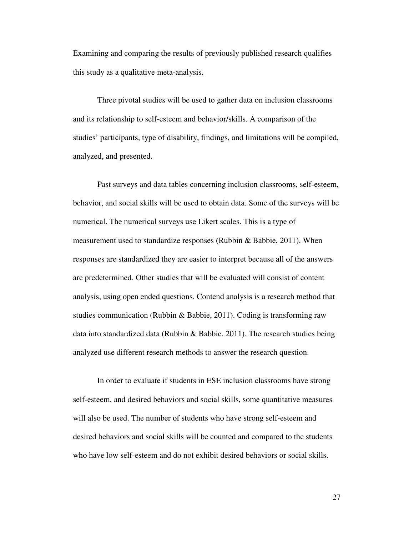Examining and comparing the results of previously published research qualifies this study as a qualitative meta-analysis.

Three pivotal studies will be used to gather data on inclusion classrooms and its relationship to self-esteem and behavior/skills. A comparison of the studies' participants, type of disability, findings, and limitations will be compiled, analyzed, and presented.

Past surveys and data tables concerning inclusion classrooms, self-esteem, behavior, and social skills will be used to obtain data. Some of the surveys will be numerical. The numerical surveys use Likert scales. This is a type of measurement used to standardize responses (Rubbin & Babbie, 2011). When responses are standardized they are easier to interpret because all of the answers are predetermined. Other studies that will be evaluated will consist of content analysis, using open ended questions. Contend analysis is a research method that studies communication (Rubbin & Babbie, 2011). Coding is transforming raw data into standardized data (Rubbin & Babbie, 2011). The research studies being analyzed use different research methods to answer the research question.

In order to evaluate if students in ESE inclusion classrooms have strong self-esteem, and desired behaviors and social skills, some quantitative measures will also be used. The number of students who have strong self-esteem and desired behaviors and social skills will be counted and compared to the students who have low self-esteem and do not exhibit desired behaviors or social skills.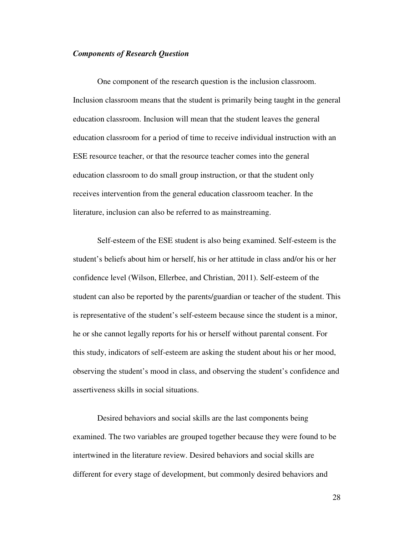#### *Components of Research Question*

One component of the research question is the inclusion classroom. Inclusion classroom means that the student is primarily being taught in the general education classroom. Inclusion will mean that the student leaves the general education classroom for a period of time to receive individual instruction with an ESE resource teacher, or that the resource teacher comes into the general education classroom to do small group instruction, or that the student only receives intervention from the general education classroom teacher. In the literature, inclusion can also be referred to as mainstreaming.

Self-esteem of the ESE student is also being examined. Self-esteem is the student's beliefs about him or herself, his or her attitude in class and/or his or her confidence level (Wilson, Ellerbee, and Christian, 2011). Self-esteem of the student can also be reported by the parents/guardian or teacher of the student. This is representative of the student's self-esteem because since the student is a minor, he or she cannot legally reports for his or herself without parental consent. For this study, indicators of self-esteem are asking the student about his or her mood, observing the student's mood in class, and observing the student's confidence and assertiveness skills in social situations.

 Desired behaviors and social skills are the last components being examined. The two variables are grouped together because they were found to be intertwined in the literature review. Desired behaviors and social skills are different for every stage of development, but commonly desired behaviors and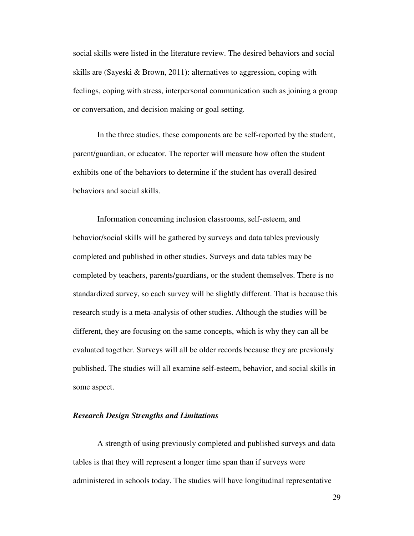social skills were listed in the literature review. The desired behaviors and social skills are (Sayeski & Brown, 2011): alternatives to aggression, coping with feelings, coping with stress, interpersonal communication such as joining a group or conversation, and decision making or goal setting.

In the three studies, these components are be self-reported by the student, parent/guardian, or educator. The reporter will measure how often the student exhibits one of the behaviors to determine if the student has overall desired behaviors and social skills.

Information concerning inclusion classrooms, self-esteem, and behavior/social skills will be gathered by surveys and data tables previously completed and published in other studies. Surveys and data tables may be completed by teachers, parents/guardians, or the student themselves. There is no standardized survey, so each survey will be slightly different. That is because this research study is a meta-analysis of other studies. Although the studies will be different, they are focusing on the same concepts, which is why they can all be evaluated together. Surveys will all be older records because they are previously published. The studies will all examine self-esteem, behavior, and social skills in some aspect.

## *Research Design Strengths and Limitations*

A strength of using previously completed and published surveys and data tables is that they will represent a longer time span than if surveys were administered in schools today. The studies will have longitudinal representative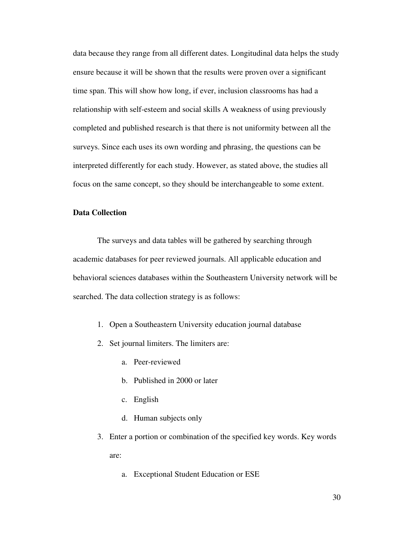data because they range from all different dates. Longitudinal data helps the study ensure because it will be shown that the results were proven over a significant time span. This will show how long, if ever, inclusion classrooms has had a relationship with self-esteem and social skills A weakness of using previously completed and published research is that there is not uniformity between all the surveys. Since each uses its own wording and phrasing, the questions can be interpreted differently for each study. However, as stated above, the studies all focus on the same concept, so they should be interchangeable to some extent.

## **Data Collection**

The surveys and data tables will be gathered by searching through academic databases for peer reviewed journals. All applicable education and behavioral sciences databases within the Southeastern University network will be searched. The data collection strategy is as follows:

- 1. Open a Southeastern University education journal database
- 2. Set journal limiters. The limiters are:
	- a. Peer-reviewed
	- b. Published in 2000 or later
	- c. English
	- d. Human subjects only
- 3. Enter a portion or combination of the specified key words. Key words are:
	- a. Exceptional Student Education or ESE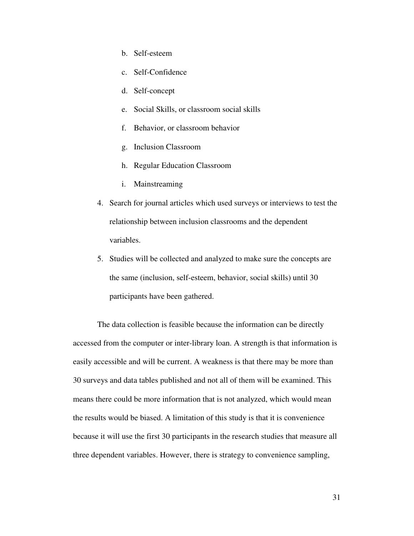- b. Self-esteem
- c. Self-Confidence
- d. Self-concept
- e. Social Skills, or classroom social skills
- f. Behavior, or classroom behavior
- g. Inclusion Classroom
- h. Regular Education Classroom
- i. Mainstreaming
- 4. Search for journal articles which used surveys or interviews to test the relationship between inclusion classrooms and the dependent variables.
- 5. Studies will be collected and analyzed to make sure the concepts are the same (inclusion, self-esteem, behavior, social skills) until 30 participants have been gathered.

The data collection is feasible because the information can be directly accessed from the computer or inter-library loan. A strength is that information is easily accessible and will be current. A weakness is that there may be more than 30 surveys and data tables published and not all of them will be examined. This means there could be more information that is not analyzed, which would mean the results would be biased. A limitation of this study is that it is convenience because it will use the first 30 participants in the research studies that measure all three dependent variables. However, there is strategy to convenience sampling,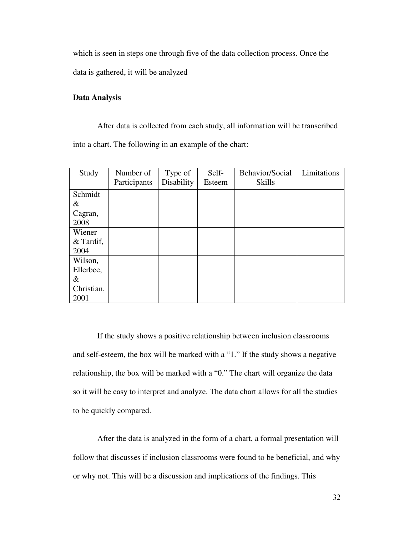which is seen in steps one through five of the data collection process. Once the data is gathered, it will be analyzed

## **Data Analysis**

 After data is collected from each study, all information will be transcribed into a chart. The following in an example of the chart:

| Study       | Number of    | Type of<br>Disability | Self-<br>Esteem | Behavior/Social<br><b>Skills</b> | Limitations |
|-------------|--------------|-----------------------|-----------------|----------------------------------|-------------|
|             | Participants |                       |                 |                                  |             |
| Schmidt     |              |                       |                 |                                  |             |
| &           |              |                       |                 |                                  |             |
| Cagran,     |              |                       |                 |                                  |             |
| 2008        |              |                       |                 |                                  |             |
| Wiener      |              |                       |                 |                                  |             |
| $&$ Tardif, |              |                       |                 |                                  |             |
| 2004        |              |                       |                 |                                  |             |
| Wilson,     |              |                       |                 |                                  |             |
| Ellerbee,   |              |                       |                 |                                  |             |
| $\&$        |              |                       |                 |                                  |             |
| Christian,  |              |                       |                 |                                  |             |
| 2001        |              |                       |                 |                                  |             |

If the study shows a positive relationship between inclusion classrooms and self-esteem, the box will be marked with a "1." If the study shows a negative relationship, the box will be marked with a "0." The chart will organize the data so it will be easy to interpret and analyze. The data chart allows for all the studies to be quickly compared.

 After the data is analyzed in the form of a chart, a formal presentation will follow that discusses if inclusion classrooms were found to be beneficial, and why or why not. This will be a discussion and implications of the findings. This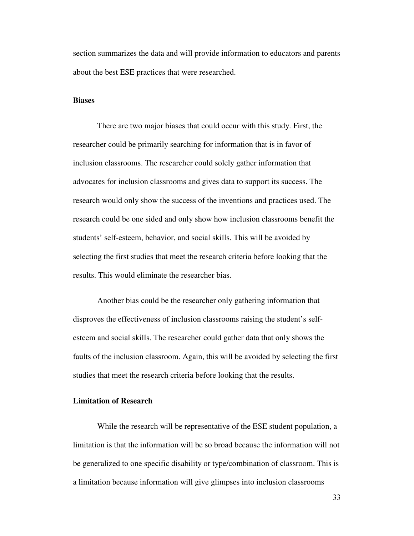section summarizes the data and will provide information to educators and parents about the best ESE practices that were researched.

#### **Biases**

There are two major biases that could occur with this study. First, the researcher could be primarily searching for information that is in favor of inclusion classrooms. The researcher could solely gather information that advocates for inclusion classrooms and gives data to support its success. The research would only show the success of the inventions and practices used. The research could be one sided and only show how inclusion classrooms benefit the students' self-esteem, behavior, and social skills. This will be avoided by selecting the first studies that meet the research criteria before looking that the results. This would eliminate the researcher bias.

Another bias could be the researcher only gathering information that disproves the effectiveness of inclusion classrooms raising the student's selfesteem and social skills. The researcher could gather data that only shows the faults of the inclusion classroom. Again, this will be avoided by selecting the first studies that meet the research criteria before looking that the results.

## **Limitation of Research**

While the research will be representative of the ESE student population, a limitation is that the information will be so broad because the information will not be generalized to one specific disability or type/combination of classroom. This is a limitation because information will give glimpses into inclusion classrooms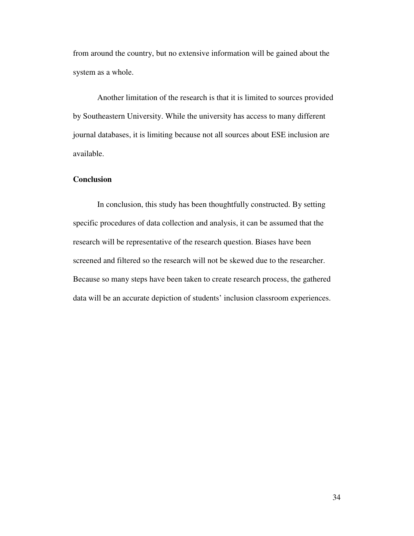from around the country, but no extensive information will be gained about the system as a whole.

Another limitation of the research is that it is limited to sources provided by Southeastern University. While the university has access to many different journal databases, it is limiting because not all sources about ESE inclusion are available.

## **Conclusion**

In conclusion, this study has been thoughtfully constructed. By setting specific procedures of data collection and analysis, it can be assumed that the research will be representative of the research question. Biases have been screened and filtered so the research will not be skewed due to the researcher. Because so many steps have been taken to create research process, the gathered data will be an accurate depiction of students' inclusion classroom experiences.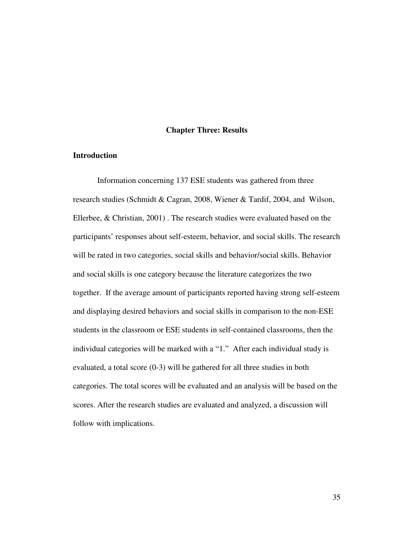### **Chapter Three: Results**

## **Introduction**

 Information concerning 137 ESE students was gathered from three research studies (Schmidt & Cagran, 2008, Wiener & Tardif, 2004, and Wilson, Ellerbee, & Christian, 2001) . The research studies were evaluated based on the participants' responses about self-esteem, behavior, and social skills. The research will be rated in two categories, social skills and behavior/social skills. Behavior and social skills is one category because the literature categorizes the two together. If the average amount of participants reported having strong self-esteem and displaying desired behaviors and social skills in comparison to the non-ESE students in the classroom or ESE students in self-contained classrooms, then the individual categories will be marked with a "1." After each individual study is evaluated, a total score (0-3) will be gathered for all three studies in both categories. The total scores will be evaluated and an analysis will be based on the scores. After the research studies are evaluated and analyzed, a discussion will follow with implications.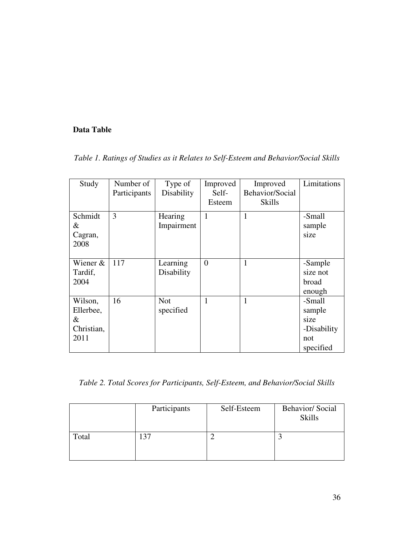## **Data Table**

*Table 1. Ratings of Studies as it Relates to Self-Esteem and Behavior/Social Skills* 

| Study                                           | Number of<br>Participants | Type of<br>Disability   | Improved<br>Self-<br>Esteem | Improved<br>Behavior/Social<br><b>Skills</b> | Limitations                                                 |
|-------------------------------------------------|---------------------------|-------------------------|-----------------------------|----------------------------------------------|-------------------------------------------------------------|
| Schmidt<br>&<br>Cagran,<br>2008                 | 3                         | Hearing<br>Impairment   | 1                           | 1                                            | -Small<br>sample<br>size                                    |
| Wiener $&$<br>Tardif,<br>2004                   | 117                       | Learning<br>Disability  | $\theta$                    |                                              | -Sample<br>size not<br>broad<br>enough                      |
| Wilson,<br>Ellerbee,<br>&<br>Christian,<br>2011 | 16                        | <b>Not</b><br>specified | 1                           | 1                                            | -Small<br>sample<br>size<br>-Disability<br>not<br>specified |

*Table 2. Total Scores for Participants, Self-Esteem, and Behavior/Social Skills* 

|       | Participants | Self-Esteem | <b>Behavior/Social</b><br><b>Skills</b> |
|-------|--------------|-------------|-----------------------------------------|
| Total |              |             |                                         |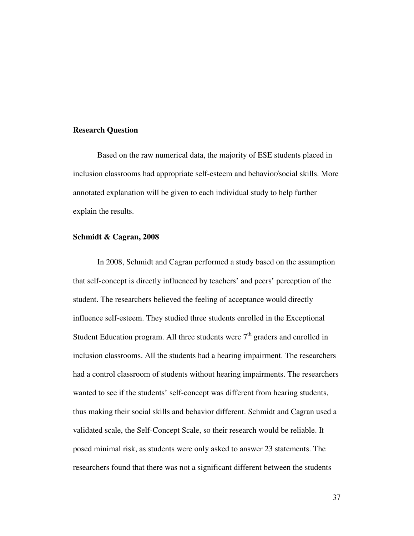#### **Research Question**

 Based on the raw numerical data, the majority of ESE students placed in inclusion classrooms had appropriate self-esteem and behavior/social skills. More annotated explanation will be given to each individual study to help further explain the results.

## **Schmidt & Cagran, 2008**

 In 2008, Schmidt and Cagran performed a study based on the assumption that self-concept is directly influenced by teachers' and peers' perception of the student. The researchers believed the feeling of acceptance would directly influence self-esteem. They studied three students enrolled in the Exceptional Student Education program. All three students were  $7<sup>th</sup>$  graders and enrolled in inclusion classrooms. All the students had a hearing impairment. The researchers had a control classroom of students without hearing impairments. The researchers wanted to see if the students' self-concept was different from hearing students, thus making their social skills and behavior different. Schmidt and Cagran used a validated scale, the Self-Concept Scale, so their research would be reliable. It posed minimal risk, as students were only asked to answer 23 statements. The researchers found that there was not a significant different between the students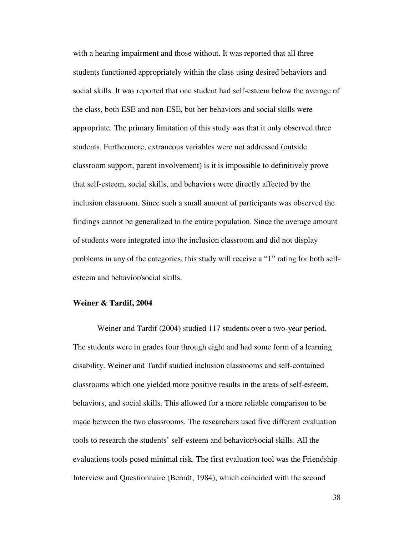with a hearing impairment and those without. It was reported that all three students functioned appropriately within the class using desired behaviors and social skills. It was reported that one student had self-esteem below the average of the class, both ESE and non-ESE, but her behaviors and social skills were appropriate. The primary limitation of this study was that it only observed three students. Furthermore, extraneous variables were not addressed (outside classroom support, parent involvement) is it is impossible to definitively prove that self-esteem, social skills, and behaviors were directly affected by the inclusion classroom. Since such a small amount of participants was observed the findings cannot be generalized to the entire population. Since the average amount of students were integrated into the inclusion classroom and did not display problems in any of the categories, this study will receive a "1" rating for both selfesteem and behavior/social skills.

#### **Weiner & Tardif, 2004**

 Weiner and Tardif (2004) studied 117 students over a two-year period. The students were in grades four through eight and had some form of a learning disability. Weiner and Tardif studied inclusion classrooms and self-contained classrooms which one yielded more positive results in the areas of self-esteem, behaviors, and social skills. This allowed for a more reliable comparison to be made between the two classrooms. The researchers used five different evaluation tools to research the students' self-esteem and behavior/social skills. All the evaluations tools posed minimal risk. The first evaluation tool was the Friendship Interview and Questionnaire (Berndt, 1984), which coincided with the second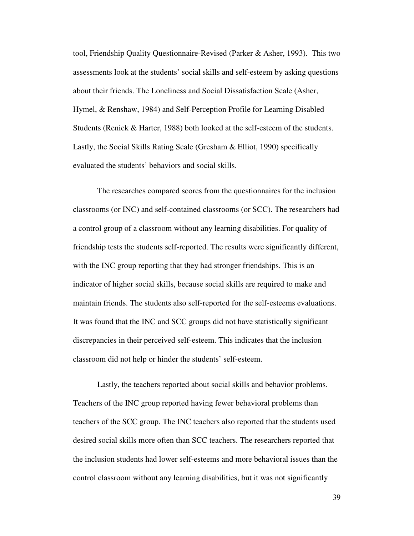tool, Friendship Quality Questionnaire-Revised (Parker & Asher, 1993). This two assessments look at the students' social skills and self-esteem by asking questions about their friends. The Loneliness and Social Dissatisfaction Scale (Asher, Hymel, & Renshaw, 1984) and Self-Perception Profile for Learning Disabled Students (Renick & Harter, 1988) both looked at the self-esteem of the students. Lastly, the Social Skills Rating Scale (Gresham & Elliot, 1990) specifically evaluated the students' behaviors and social skills.

 The researches compared scores from the questionnaires for the inclusion classrooms (or INC) and self-contained classrooms (or SCC). The researchers had a control group of a classroom without any learning disabilities. For quality of friendship tests the students self-reported. The results were significantly different, with the INC group reporting that they had stronger friendships. This is an indicator of higher social skills, because social skills are required to make and maintain friends. The students also self-reported for the self-esteems evaluations. It was found that the INC and SCC groups did not have statistically significant discrepancies in their perceived self-esteem. This indicates that the inclusion classroom did not help or hinder the students' self-esteem.

Lastly, the teachers reported about social skills and behavior problems. Teachers of the INC group reported having fewer behavioral problems than teachers of the SCC group. The INC teachers also reported that the students used desired social skills more often than SCC teachers. The researchers reported that the inclusion students had lower self-esteems and more behavioral issues than the control classroom without any learning disabilities, but it was not significantly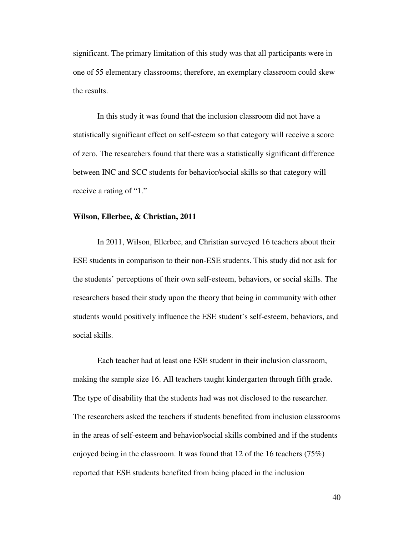significant. The primary limitation of this study was that all participants were in one of 55 elementary classrooms; therefore, an exemplary classroom could skew the results.

In this study it was found that the inclusion classroom did not have a statistically significant effect on self-esteem so that category will receive a score of zero. The researchers found that there was a statistically significant difference between INC and SCC students for behavior/social skills so that category will receive a rating of "1."

## **Wilson, Ellerbee, & Christian, 2011**

 In 2011, Wilson, Ellerbee, and Christian surveyed 16 teachers about their ESE students in comparison to their non-ESE students. This study did not ask for the students' perceptions of their own self-esteem, behaviors, or social skills. The researchers based their study upon the theory that being in community with other students would positively influence the ESE student's self-esteem, behaviors, and social skills.

Each teacher had at least one ESE student in their inclusion classroom, making the sample size 16. All teachers taught kindergarten through fifth grade. The type of disability that the students had was not disclosed to the researcher. The researchers asked the teachers if students benefited from inclusion classrooms in the areas of self-esteem and behavior/social skills combined and if the students enjoyed being in the classroom. It was found that 12 of the 16 teachers (75%) reported that ESE students benefited from being placed in the inclusion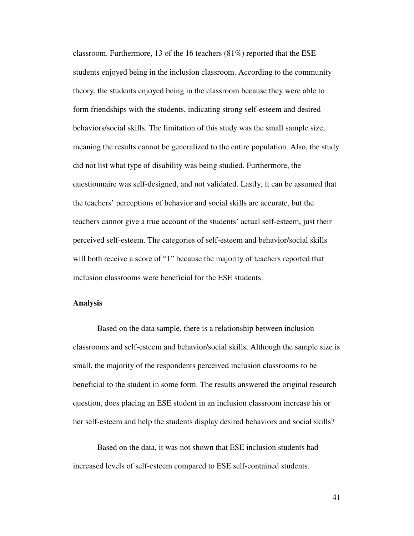classroom. Furthermore, 13 of the 16 teachers  $(81\%)$  reported that the ESE students enjoyed being in the inclusion classroom. According to the community theory, the students enjoyed being in the classroom because they were able to form friendships with the students, indicating strong self-esteem and desired behaviors/social skills. The limitation of this study was the small sample size, meaning the results cannot be generalized to the entire population. Also, the study did not list what type of disability was being studied. Furthermore, the questionnaire was self-designed, and not validated. Lastly, it can be assumed that the teachers' perceptions of behavior and social skills are accurate, but the teachers cannot give a true account of the students' actual self-esteem, just their perceived self-esteem. The categories of self-esteem and behavior/social skills will both receive a score of "1" because the majority of teachers reported that inclusion classrooms were beneficial for the ESE students.

### **Analysis**

Based on the data sample, there is a relationship between inclusion classrooms and self-esteem and behavior/social skills. Although the sample size is small, the majority of the respondents perceived inclusion classrooms to be beneficial to the student in some form. The results answered the original research question, does placing an ESE student in an inclusion classroom increase his or her self-esteem and help the students display desired behaviors and social skills?

Based on the data, it was not shown that ESE inclusion students had increased levels of self-esteem compared to ESE self-contained students.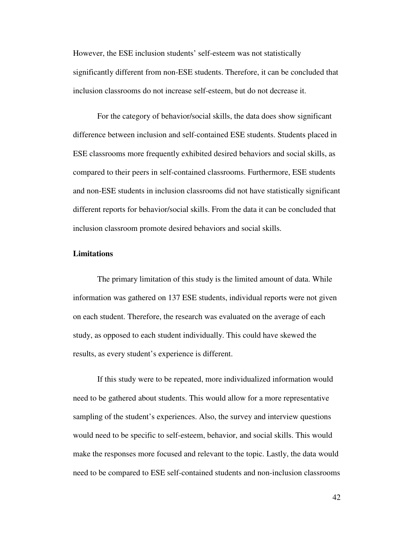However, the ESE inclusion students' self-esteem was not statistically significantly different from non-ESE students. Therefore, it can be concluded that inclusion classrooms do not increase self-esteem, but do not decrease it.

 For the category of behavior/social skills, the data does show significant difference between inclusion and self-contained ESE students. Students placed in ESE classrooms more frequently exhibited desired behaviors and social skills, as compared to their peers in self-contained classrooms. Furthermore, ESE students and non-ESE students in inclusion classrooms did not have statistically significant different reports for behavior/social skills. From the data it can be concluded that inclusion classroom promote desired behaviors and social skills.

### **Limitations**

The primary limitation of this study is the limited amount of data. While information was gathered on 137 ESE students, individual reports were not given on each student. Therefore, the research was evaluated on the average of each study, as opposed to each student individually. This could have skewed the results, as every student's experience is different.

 If this study were to be repeated, more individualized information would need to be gathered about students. This would allow for a more representative sampling of the student's experiences. Also, the survey and interview questions would need to be specific to self-esteem, behavior, and social skills. This would make the responses more focused and relevant to the topic. Lastly, the data would need to be compared to ESE self-contained students and non-inclusion classrooms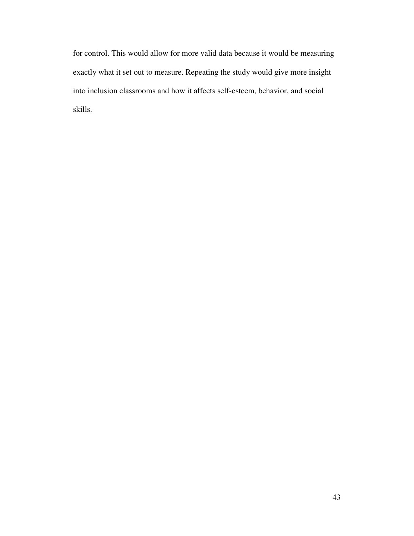for control. This would allow for more valid data because it would be measuring exactly what it set out to measure. Repeating the study would give more insight into inclusion classrooms and how it affects self-esteem, behavior, and social skills.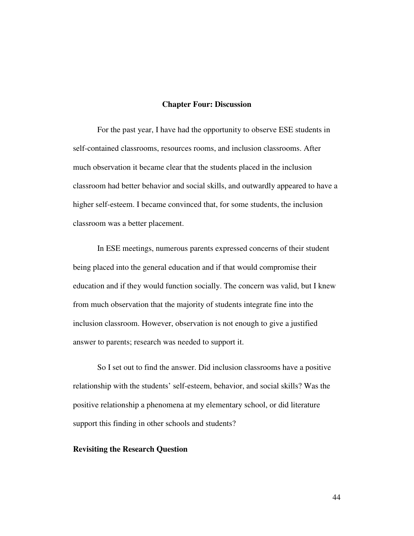## **Chapter Four: Discussion**

 For the past year, I have had the opportunity to observe ESE students in self-contained classrooms, resources rooms, and inclusion classrooms. After much observation it became clear that the students placed in the inclusion classroom had better behavior and social skills, and outwardly appeared to have a higher self-esteem. I became convinced that, for some students, the inclusion classroom was a better placement.

 In ESE meetings, numerous parents expressed concerns of their student being placed into the general education and if that would compromise their education and if they would function socially. The concern was valid, but I knew from much observation that the majority of students integrate fine into the inclusion classroom. However, observation is not enough to give a justified answer to parents; research was needed to support it.

 So I set out to find the answer. Did inclusion classrooms have a positive relationship with the students' self-esteem, behavior, and social skills? Was the positive relationship a phenomena at my elementary school, or did literature support this finding in other schools and students?

## **Revisiting the Research Question**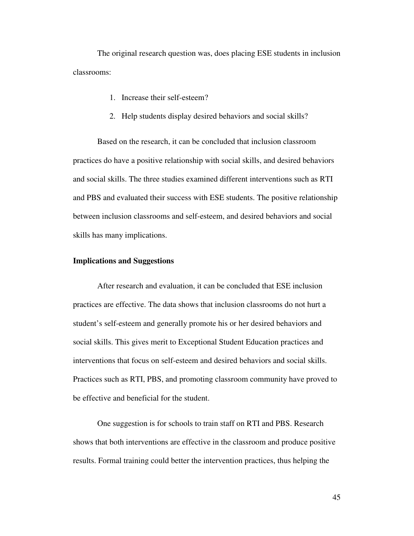The original research question was, does placing ESE students in inclusion classrooms:

- 1. Increase their self-esteem?
- 2. Help students display desired behaviors and social skills?

Based on the research, it can be concluded that inclusion classroom practices do have a positive relationship with social skills, and desired behaviors and social skills. The three studies examined different interventions such as RTI and PBS and evaluated their success with ESE students. The positive relationship between inclusion classrooms and self-esteem, and desired behaviors and social skills has many implications.

## **Implications and Suggestions**

 After research and evaluation, it can be concluded that ESE inclusion practices are effective. The data shows that inclusion classrooms do not hurt a student's self-esteem and generally promote his or her desired behaviors and social skills. This gives merit to Exceptional Student Education practices and interventions that focus on self-esteem and desired behaviors and social skills. Practices such as RTI, PBS, and promoting classroom community have proved to be effective and beneficial for the student.

 One suggestion is for schools to train staff on RTI and PBS. Research shows that both interventions are effective in the classroom and produce positive results. Formal training could better the intervention practices, thus helping the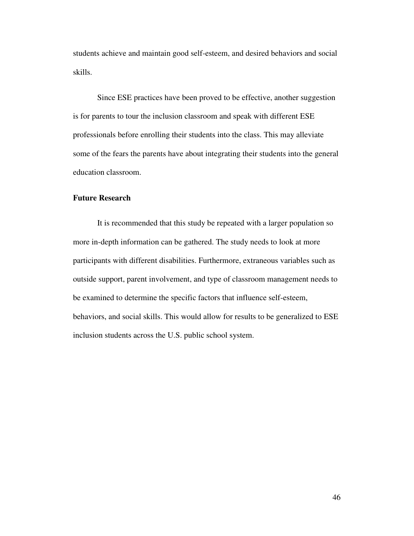students achieve and maintain good self-esteem, and desired behaviors and social skills.

 Since ESE practices have been proved to be effective, another suggestion is for parents to tour the inclusion classroom and speak with different ESE professionals before enrolling their students into the class. This may alleviate some of the fears the parents have about integrating their students into the general education classroom.

## **Future Research**

It is recommended that this study be repeated with a larger population so more in-depth information can be gathered. The study needs to look at more participants with different disabilities. Furthermore, extraneous variables such as outside support, parent involvement, and type of classroom management needs to be examined to determine the specific factors that influence self-esteem, behaviors, and social skills. This would allow for results to be generalized to ESE inclusion students across the U.S. public school system.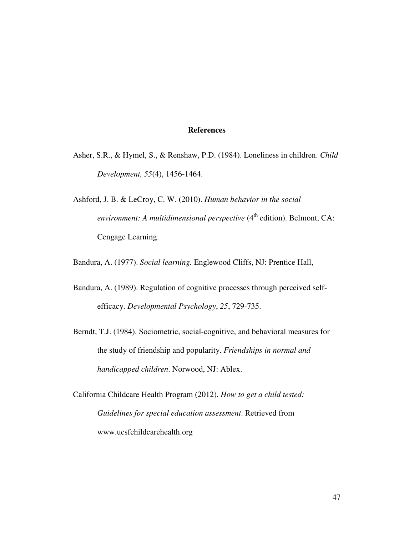## **References**

- Asher, S.R., & Hymel, S., & Renshaw, P.D. (1984). Loneliness in children. *Child Development, 55*(4), 1456-1464.
- Ashford, J. B. & LeCroy, C. W. (2010). *Human behavior in the social environment: A multidimensional perspective* (4<sup>th</sup> edition). Belmont, CA: Cengage Learning.

Bandura, A. (1977). *Social learning.* Englewood Cliffs, NJ: Prentice Hall,

- Bandura, A. (1989). Regulation of cognitive processes through perceived selfefficacy. *Developmental Psychology*, *25*, 729-735.
- Berndt, T.J. (1984). Sociometric, social-cognitive, and behavioral measures for the study of friendship and popularity. *Friendships in normal and handicapped children*. Norwood, NJ: Ablex.

California Childcare Health Program (2012). *How to get a child tested: Guidelines for special education assessment*. Retrieved from www.ucsfchildcarehealth.org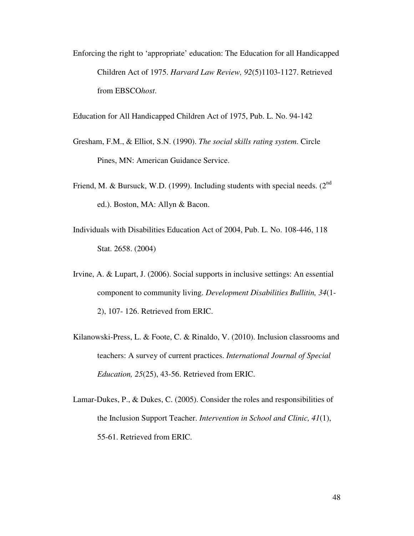Enforcing the right to 'appropriate' education: The Education for all Handicapped Children Act of 1975. *Harvard Law Review, 92*(5)1103-1127. Retrieved from EBSCO*host*.

Education for All Handicapped Children Act of 1975, Pub. L. No. 94-142

- Gresham, F.M., & Elliot, S.N. (1990). *The social skills rating system*. Circle Pines, MN: American Guidance Service.
- Friend, M. & Bursuck, W.D. (1999). Including students with special needs. (2<sup>nd</sup>) ed.). Boston, MA: Allyn & Bacon.
- Individuals with Disabilities Education Act of 2004, Pub. L. No. 108-446, 118 Stat. 2658. (2004)
- Irvine, A. & Lupart, J. (2006). Social supports in inclusive settings: An essential component to community living. *Development Disabilities Bullitin, 34*(1- 2), 107- 126. Retrieved from ERIC.
- Kilanowski-Press, L. & Foote, C. & Rinaldo, V. (2010). Inclusion classrooms and teachers: A survey of current practices. *International Journal of Special Education, 25*(25), 43-56. Retrieved from ERIC.
- Lamar-Dukes, P., & Dukes, C. (2005). Consider the roles and responsibilities of the Inclusion Support Teacher. *Intervention in School and Clinic, 41*(1), 55-61. Retrieved from ERIC.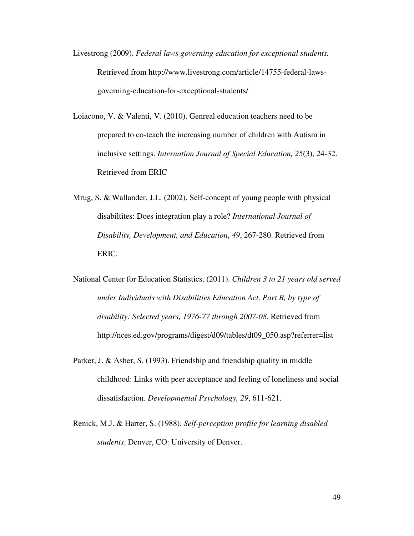- Livestrong (2009). *Federal laws governing education for exceptional students.* Retrieved from http://www.livestrong.com/article/14755-federal-lawsgoverning-education-for-exceptional-students/
- Loiacono, V. & Valenti, V. (2010). Genreal education teachers need to be prepared to co-teach the increasing number of children with Autism in inclusive settings. *Internation Journal of Special Education, 25*(3), 24-32. Retrieved from ERIC
- Mrug, S. & Wallander, J.L. (2002). Self-concept of young people with physical disabiltites: Does integration play a role? *International Journal of Disability, Development, and Education*, *49*, 267-280. Retrieved from ERIC.
- National Center for Education Statistics. (2011). *Children 3 to 21 years old served under Individuals with Disabilities Education Act, Part B, by type of disability: Selected years, 1976-77 through 2007-08.* Retrieved from http://nces.ed.gov/programs/digest/d09/tables/dt09\_050.asp?referrer=list
- Parker, J. & Asher, S. (1993). Friendship and friendship quality in middle childhood: Links with peer acceptance and feeling of loneliness and social dissatisfaction. *Developmental Psychology, 29*, 611-621.
- Renick, M.J. & Harter, S. (1988). *Self-perception profile for learning disabled students*. Denver, CO: University of Denver.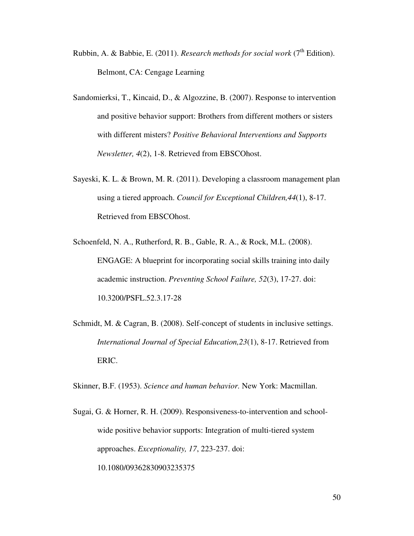- Rubbin, A. & Babbie, E. (2011). *Research methods for social work* ( $7<sup>th</sup>$  Edition). Belmont, CA: Cengage Learning
- Sandomierksi, T., Kincaid, D., & Algozzine, B. (2007). Response to intervention and positive behavior support: Brothers from different mothers or sisters with different misters? *Positive Behavioral Interventions and Supports Newsletter, 4*(2), 1-8. Retrieved from EBSCOhost.
- Sayeski, K. L. & Brown, M. R. (2011). Developing a classroom management plan using a tiered approach. *Council for Exceptional Children,44*(1), 8-17. Retrieved from EBSCOhost.
- Schoenfeld, N. A., Rutherford, R. B., Gable, R. A., & Rock, M.L. (2008). ENGAGE: A blueprint for incorporating social skills training into daily academic instruction. *Preventing School Failure, 52*(3), 17-27. doi: 10.3200/PSFL.52.3.17-28
- Schmidt, M. & Cagran, B. (2008). Self-concept of students in inclusive settings. *International Journal of Special Education,23*(1), 8-17. Retrieved from ERIC.

Skinner, B.F. (1953). *Science and human behavior.* New York: Macmillan.

Sugai, G. & Horner, R. H. (2009). Responsiveness-to-intervention and schoolwide positive behavior supports: Integration of multi-tiered system approaches. *Exceptionality, 17*, 223-237. doi: 10.1080/09362830903235375